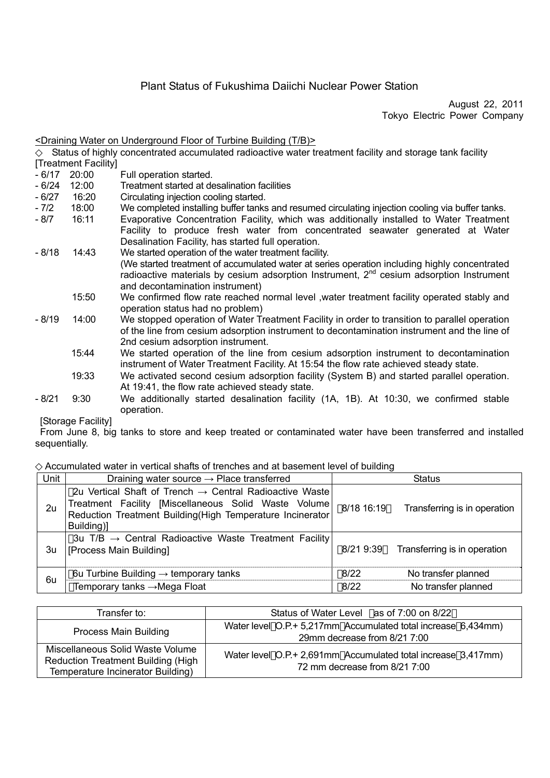# Plant Status of Fukushima Daiichi Nuclear Power Station

August 22, 2011 Tokyo Electric Power Company

#### <Draining Water on Underground Floor of Turbine Building (T/B)>

Status of highly concentrated accumulated radioactive water treatment facility and storage tank facility [Treatment Facility]

- 6/17 20:00 Full operation started.
- 6/24 12:00 Treatment started at desalination facilities
- 6/27 16:20 Circulating injection cooling started.
- 7/2 18:00 We completed installing buffer tanks and resumed circulating injection cooling via buffer tanks.<br>- 8/7 16:11 Evaporative Concentration Facility which was additionally installed to Water Treatment
- Evaporative Concentration Facility, which was additionally installed to Water Treatment Facility to produce fresh water from concentrated seawater generated at Water Desalination Facility, has started full operation.
- 8/18 14:43 We started operation of the water treatment facility. (We started treatment of accumulated water at series operation including highly concentrated radioactive materials by cesium adsorption Instrument, 2<sup>nd</sup> cesium adsorption Instrument and decontamination instrument)
	- 15:50 We confirmed flow rate reached normal level ,water treatment facility operated stably and operation status had no problem)
- 8/19 14:00 We stopped operation of Water Treatment Facility in order to transition to parallel operation of the line from cesium adsorption instrument to decontamination instrument and the line of 2nd cesium adsorption instrument.
	- 15:44 We started operation of the line from cesium adsorption instrument to decontamination instrument of Water Treatment Facility. At 15:54 the flow rate achieved steady state.
	- 19:33 We activated second cesium adsorption facility (System B) and started parallel operation. At 19:41, the flow rate achieved steady state.
- 8/21 9:30 We additionally started desalination facility (1A, 1B). At 10:30, we confirmed stable operation.

[Storage Facility]

From June 8, big tanks to store and keep treated or contaminated water have been transferred and installed sequentially.

#### Accumulated water in vertical shafts of trenches and at basement level of building

| Unit | Draining water source $\rightarrow$ Place transferred                                                                                                                                                   | <b>Status</b> |                                        |
|------|---------------------------------------------------------------------------------------------------------------------------------------------------------------------------------------------------------|---------------|----------------------------------------|
| 2u   | 2u Vertical Shaft of Trench $\rightarrow$ Central Radioactive Waste<br>Treatment Facility [Miscellaneous Solid Waste Volume]<br>Reduction Treatment Building(High Temperature Incinerator<br>Building)] | 8/18 16:19    | Transferring is in operation           |
| 3u   | 3u T/B $\rightarrow$ Central Radioactive Waste Treatment Facility<br>[Process Main Building]                                                                                                            |               | 8/21 9:39 Transferring is in operation |
| 6u   | 6u Turbine Building $\rightarrow$ temporary tanks                                                                                                                                                       | 8/22          | No transfer planned                    |
|      | Temporary tanks →Mega Float                                                                                                                                                                             | 8/22          | No transfer planned                    |

| Transfer to:                                                                                                | Status of Water Level as of 7:00 on 8/22                                                       |
|-------------------------------------------------------------------------------------------------------------|------------------------------------------------------------------------------------------------|
| Process Main Building                                                                                       | Water level O.P.+ 5,217mm Accumulated total increase 6,434mm)<br>29mm decrease from 8/21 7:00  |
| Miscellaneous Solid Waste Volume<br>Reduction Treatment Building (High<br>Temperature Incinerator Building) | Water level O.P.+ 2,691mm Accumulated total increase 3,417mm)<br>72 mm decrease from 8/21 7:00 |